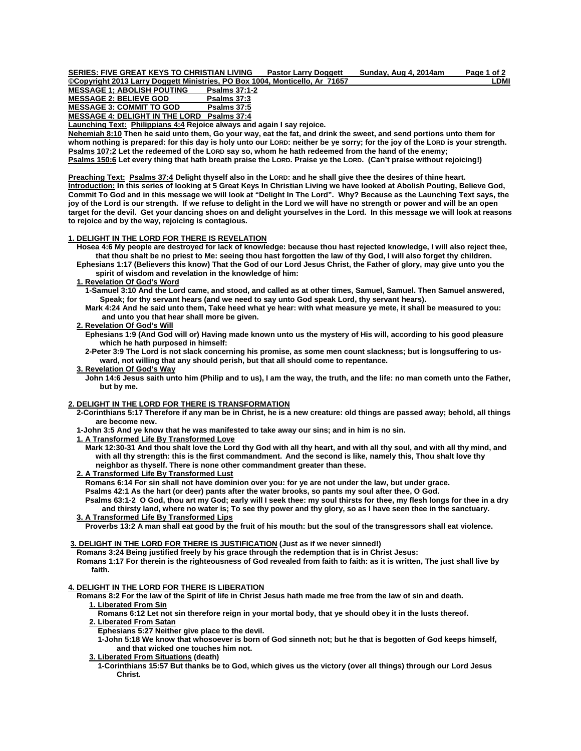SERIES: FIVE GREAT KEYS TO CHRISTIAN LIVING Pastor Larry Doggett Sunday, Aug 4, 2014am Page 1 of 2

**COpyright 2013 Larry Doggett Ministries, PO Box 1004, Monticello, Ar 71657** LOWING MESSAGE 1: ABOLISH POUTING Psalms 37:1-2 **MESSAGE 1; ABOLISH POUTING** MESSAGE 2: BELIEVE GOD Psalms 37:3<br>MESSAGE 3: COMMIT TO GOD Psalms 37:5

**MESSAGE 3: COMMIT TO GOD** 

**MESSAGE 4: DELIGHT IN THE LORD Psalms 37:4**

**Launching Text: Philippians 4:4 Rejoice always and again I say rejoice.** 

**Nehemiah 8:10 Then he said unto them, Go your way, eat the fat, and drink the sweet, and send portions unto them for whom nothing is prepared: for this day is holy unto our LORD: neither be ye sorry; for the joy of the LORD is your strength. Psalms 107:2 Let the redeemed of the LORD say so, whom he hath redeemed from the hand of the enemy; Psalms 150:6 Let every thing that hath breath praise the LORD. Praise ye the LORD. (Can't praise without rejoicing!)** 

**Preaching Text: Psalms 37:4 Delight thyself also in the LORD: and he shall give thee the desires of thine heart. Introduction: In this series of looking at 5 Great Keys In Christian Living we have looked at Abolish Pouting, Believe God, Commit To God and in this message we will look at "Delight In The Lord". Why? Because as the Launching Text says, the joy of the Lord is our strength. If we refuse to delight in the Lord we will have no strength or power and will be an open target for the devil. Get your dancing shoes on and delight yourselves in the Lord. In this message we will look at reasons to rejoice and by the way, rejoicing is contagious.** 

# **1. DELIGHT IN THE LORD FOR THERE IS REVELATION**

 **Hosea 4:6 My people are destroyed for lack of knowledge: because thou hast rejected knowledge, I will also reject thee, that thou shalt be no priest to Me: seeing thou hast forgotten the law of thy God, I will also forget thy children.** 

 **Ephesians 1:17 (Believers this know) That the God of our Lord Jesus Christ, the Father of glory, may give unto you the spirit of wisdom and revelation in the knowledge of him:** 

# **1. Revelation Of God's Word**

 **1-Samuel 3:10 And the Lord came, and stood, and called as at other times, Samuel, Samuel. Then Samuel answered, Speak; for thy servant hears (and we need to say unto God speak Lord, thy servant hears).** 

 **Mark 4:24 And he said unto them, Take heed what ye hear: with what measure ye mete, it shall be measured to you: and unto you that hear shall more be given.** 

# **2. Revelation Of God's Will**

 **Ephesians 1:9 (And God will or) Having made known unto us the mystery of His will, according to his good pleasure which he hath purposed in himself:** 

 **2-Peter 3:9 The Lord is not slack concerning his promise, as some men count slackness; but is longsuffering to us ward, not willing that any should perish, but that all should come to repentance.** 

# **3. Revelation Of God's Way**

 **John 14:6 Jesus saith unto him (Philip and to us), I am the way, the truth, and the life: no man cometh unto the Father, but by me.** 

## **2. DELIGHT IN THE LORD FOR THERE IS TRANSFORMATION**

 **2-Corinthians 5:17 Therefore if any man be in Christ, he is a new creature: old things are passed away; behold, all things are become new.** 

 **1-John 3:5 And ye know that he was manifested to take away our sins; and in him is no sin.** 

 **1. A Transformed Life By Transformed Love**

 **Mark 12:30-31 And thou shalt love the Lord thy God with all thy heart, and with all thy soul, and with all thy mind, and with all thy strength: this is the first commandment. And the second is like, namely this, Thou shalt love thy neighbor as thyself. There is none other commandment greater than these.** 

 **2. A Transformed Life By Transformed Lust**

 **Romans 6:14 For sin shall not have dominion over you: for ye are not under the law, but under grace.** 

 **Psalms 42:1 As the hart (or deer) pants after the water brooks, so pants my soul after thee, O God.** 

 **Psalms 63:1-2 O God, thou art my God; early will I seek thee: my soul thirsts for thee, my flesh longs for thee in a dry and thirsty land, where no water is; To see thy power and thy glory, so as I have seen thee in the sanctuary.** 

# **3. A Transformed Life By Transformed Lips**

 **Proverbs 13:2 A man shall eat good by the fruit of his mouth: but the soul of the transgressors shall eat violence.** 

# **3. DELIGHT IN THE LORD FOR THERE IS JUSTIFICATION (Just as if we never sinned!)**

 **Romans 3:24 Being justified freely by his grace through the redemption that is in Christ Jesus:**

 **Romans 1:17 For therein is the righteousness of God revealed from faith to faith: as it is written, The just shall live by faith.** 

### **4. DELIGHT IN THE LORD FOR THERE IS LIBERATION**

 **Romans 8:2 For the law of the Spirit of life in Christ Jesus hath made me free from the law of sin and death. 1. Liberated From Sin**

 **Romans 6:12 Let not sin therefore reign in your mortal body, that ye should obey it in the lusts thereof. 2. Liberated From Satan**

 **Ephesians 5:27 Neither give place to the devil.** 

 **1-John 5:18 We know that whosoever is born of God sinneth not; but he that is begotten of God keeps himself, and that wicked one touches him not.** 

# **3. Liberated From Situations (death)**

 **1-Corinthians 15:57 But thanks be to God, which gives us the victory (over all things) through our Lord Jesus Christ.**